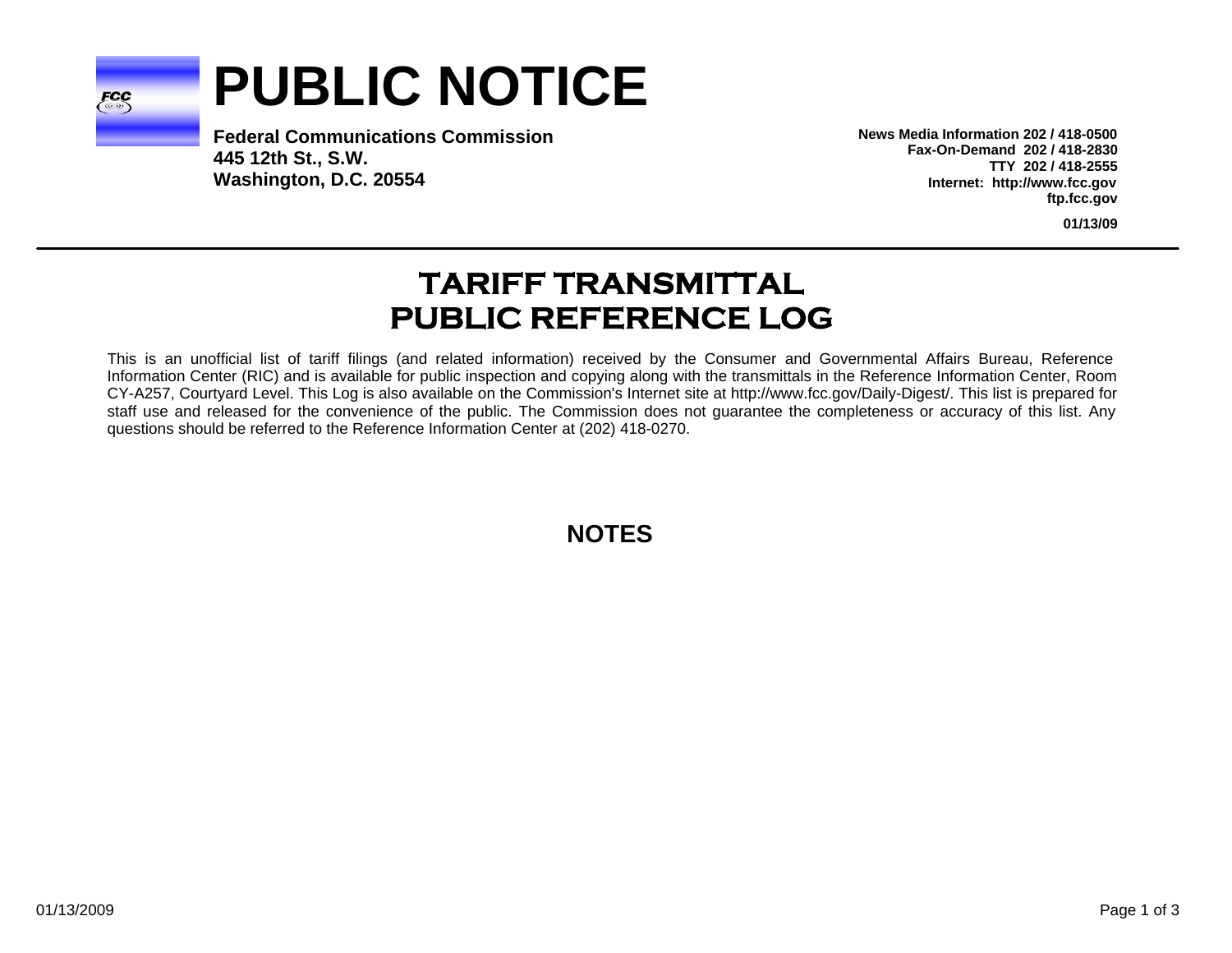

# **PUBLIC NOTICE**

**Federal Communications Commission445 12th St., S.W. Washington, D.C. 20554**

**News Media Information 202 / 418-0500Fax-On-Demand 202 / 418-2830TTY 202 / 418-2555Internet: http://www.fcc.gov ftp.fcc.gov**

**01/13/09**

# **TARIFF TRANSMITTAL PUBLIC REFERENCE LOG**

This is an unofficial list of tariff filings (and related information) received by the Consumer and Governmental Affairs Bureau, Reference Information Center (RIC) and is available for public inspection and copying along with the transmittals in the Reference Information Center, Room CY-A257, Courtyard Level. This Log is also available on the Commission's Internet site at http://www.fcc.gov/Daily-Digest/. This list is prepared for staff use and released for the convenience of the public. The Commission does not guarantee the completeness or accuracy of this list. Any questions should be referred to the Reference Information Center at (202) 418-0270.

**NOTES**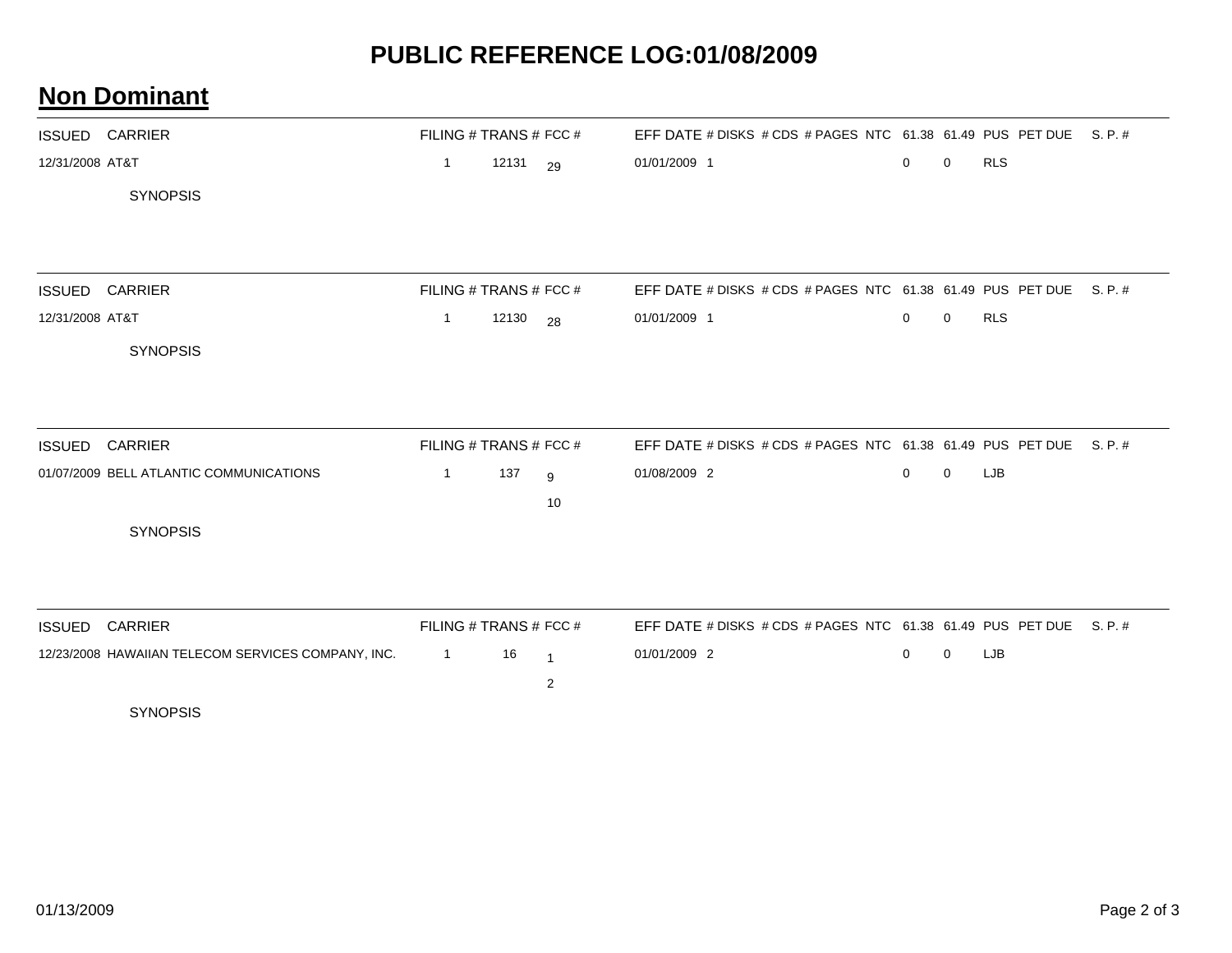### **PUBLIC REFERENCE LOG:01/08/2009**

#### **Non Dominant**

|                 | <b>ISSUED CARRIER</b>                              |                | FILING # TRANS # FCC # |                | EFF DATE # DISKS # CDS # PAGES NTC 61.38 61.49 PUS PET DUE S. P. # |             |             |            |       |
|-----------------|----------------------------------------------------|----------------|------------------------|----------------|--------------------------------------------------------------------|-------------|-------------|------------|-------|
| 12/31/2008 AT&T |                                                    | $\mathbf{1}$   | 12131 29               |                | 01/01/2009 1                                                       | $\mathbf 0$ | $\mathbf 0$ | <b>RLS</b> |       |
|                 | <b>SYNOPSIS</b>                                    |                |                        |                |                                                                    |             |             |            |       |
|                 |                                                    |                |                        |                |                                                                    |             |             |            |       |
|                 | <b>ISSUED CARRIER</b>                              |                | FILING # TRANS # FCC # |                | EFF DATE # DISKS # CDS # PAGES NTC 61.38 61.49 PUS PET DUE S. P. # |             |             |            |       |
| 12/31/2008 AT&T |                                                    | $\mathbf{1}$   | 12130 28               |                | 01/01/2009 1                                                       | $\mathbf 0$ | $\mathbf 0$ | <b>RLS</b> |       |
|                 | <b>SYNOPSIS</b>                                    |                |                        |                |                                                                    |             |             |            |       |
|                 |                                                    |                |                        |                |                                                                    |             |             |            |       |
| <b>ISSUED</b>   | <b>CARRIER</b>                                     |                | FILING # TRANS # FCC # |                | EFF DATE # DISKS # CDS # PAGES NTC 61.38 61.49 PUS PET DUE S. P. # |             |             |            |       |
|                 | 01/07/2009 BELL ATLANTIC COMMUNICATIONS            | $\overline{1}$ | 137                    | 9              | 01/08/2009 2                                                       | $\mathbf 0$ | 0           | LJB        |       |
|                 |                                                    |                |                        | 10             |                                                                    |             |             |            |       |
|                 | <b>SYNOPSIS</b>                                    |                |                        |                |                                                                    |             |             |            |       |
|                 |                                                    |                |                        |                |                                                                    |             |             |            |       |
| <b>ISSUED</b>   | <b>CARRIER</b>                                     |                | FILING # TRANS # FCC # |                | EFF DATE # DISKS # CDS # PAGES NTC 61.38 61.49 PUS PET DUE         |             |             |            | S.P.# |
|                 | 12/23/2008 HAWAIIAN TELECOM SERVICES COMPANY, INC. | $\overline{1}$ | 16                     | $\overline{1}$ | 01/01/2009 2                                                       | $\mathbf 0$ | $\mathbf 0$ | LJB        |       |
|                 |                                                    |                |                        | $\overline{c}$ |                                                                    |             |             |            |       |
|                 | <b>SYNOPSIS</b>                                    |                |                        |                |                                                                    |             |             |            |       |